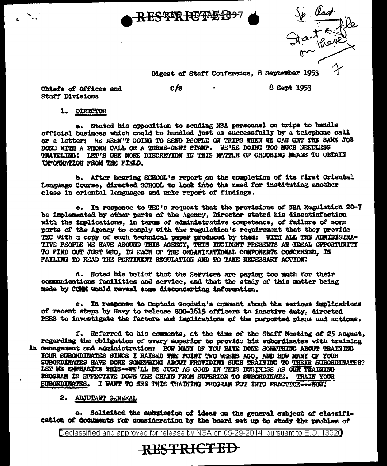

I went<br>I authorite

Digest of Staff Conference, 8 September 1953

Chiefs of Offices and **Staff Divisions** 

 $c/s$ 

8 Sept 1953

1. DIRECTOR

a. Stated his opposition to sending NSA personnel on trips to handle official business which could be handled just as successfully by a telephone call OF a letter: WE AREN'T GOING TO SEND PEOPLE ON TRIPS WHEN WE CAN GET THE SAME JOB DONE WITH A PHONE CALL OR A THREE-CENT STAMP. WE'RE DOING TOO MUCH NEEDLESS TRAVELING! LET'S USE MORE DISCRETION IN THIS MATTER OF CHOOSING MEANS TO OBTAIN INFORMATION FROM THE FIELD.

b. After hearing SCHOOL's report on the completion of its first Oriental Language Course, directed SCHOOL to look into the need for instituting another class in oriental languages and make report of findings.

e. In response to TEC's request that the provisions of NSA Regulation 20-7 be implemented by other parts of the Agency, Director stated his dissatisfaction with the implications, in terms of administrative competence, of failure of some parts of the Agency to comply with the regulation's requirement that they provide TEC with a copy of each technical paper produced by them: WITH ALL THE ADMINISTRA-TIVE PEOPLE WE HAVE AROUND THIS AGENCY, THIS INCIDENT PRESENTS AN IDEAL OPPORTUNITY TO FIND OUT JUST WHO, IN EACH OF THE ORGANIZATIONAL COMPONENTS CONCERNED. IS FAILING TO READ THE PERTINENT REGULATION AND TO TAKE NECESSARY ACTION!

d. Noted his belief that the Services are paying too much for their communications facilities and service, and that the study of this matter being made by COMM would reveal some disconcerting information.

e. In response to Captain Goodwin's comment about the serious implications of recent steps by Havy to release SDO-1615 officers to inactive duty. directed PEES to investigate the factors and implications of the purported plans and actions.

f. Referred to his comments, at the time of the Staff Meeting of 25 August. regarding the obligation of every superior to provide his subordinates with training in management and administration: HOW MANY OF YOU HAVE DONE SOMETHING ABOUT TRAINING YOUR SUBORDINATES SINCE I RAISED THE POINT TWO WEEKS AGO, AND HOW MANY OF YOUR SUBORDINATES HAVE DONE SOMETHING ABOUT PROVIDING SUCH TRAINING TO THEIR SUBORDINATES? LET ME EMPHASIZE THIS--WE'LL BE JUST AS GOOD IN THIS BUSINESS AS OUN TRAINING PROGRAM IS EFFECTIVE DOWN THE CHAIN FROM SUPERIOR TO SUBORDINATE. TRAIN YOUR SUBORDINATES. I WANT TO SEE THIS TRAINING PROGRAM FUT INTO PRACTICE--- NOW!

## 2. ADJUTANT GEHERAL

a. Solicited the submission of ideas on the general subject of classification of documents for consideration by the board set up to study the problem of

**RESTRICTED** 

Declassified and approved for release by NSA on 05-29-2014 pursuant to E.O. 13526